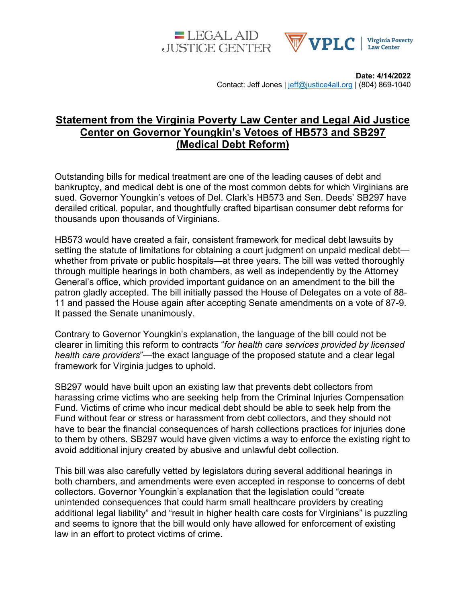



**Date: 4/14/2022** Contact: Jeff Jones | jeff@justice4all.org | (804) 869-1040

## **Statement from the Virginia Poverty Law Center and Legal Aid Justice Center on Governor Youngkin's Vetoes of HB573 and SB297 (Medical Debt Reform)**

Outstanding bills for medical treatment are one of the leading causes of debt and bankruptcy, and medical debt is one of the most common debts for which Virginians are sued. Governor Youngkin's vetoes of Del. Clark's HB573 and Sen. Deeds' SB297 have derailed critical, popular, and thoughtfully crafted bipartisan consumer debt reforms for thousands upon thousands of Virginians.

HB573 would have created a fair, consistent framework for medical debt lawsuits by setting the statute of limitations for obtaining a court judgment on unpaid medical debt whether from private or public hospitals—at three years. The bill was vetted thoroughly through multiple hearings in both chambers, as well as independently by the Attorney General's office, which provided important guidance on an amendment to the bill the patron gladly accepted. The bill initially passed the House of Delegates on a vote of 88- 11 and passed the House again after accepting Senate amendments on a vote of 87-9. It passed the Senate unanimously.

Contrary to Governor Youngkin's explanation, the language of the bill could not be clearer in limiting this reform to contracts "*for health care services provided by licensed health care providers*"—the exact language of the proposed statute and a clear legal framework for Virginia judges to uphold.

SB297 would have built upon an existing law that prevents debt collectors from harassing crime victims who are seeking help from the Criminal Injuries Compensation Fund. Victims of crime who incur medical debt should be able to seek help from the Fund without fear or stress or harassment from debt collectors, and they should not have to bear the financial consequences of harsh collections practices for injuries done to them by others. SB297 would have given victims a way to enforce the existing right to avoid additional injury created by abusive and unlawful debt collection.

This bill was also carefully vetted by legislators during several additional hearings in both chambers, and amendments were even accepted in response to concerns of debt collectors. Governor Youngkin's explanation that the legislation could "create unintended consequences that could harm small healthcare providers by creating additional legal liability" and "result in higher health care costs for Virginians" is puzzling and seems to ignore that the bill would only have allowed for enforcement of existing law in an effort to protect victims of crime.